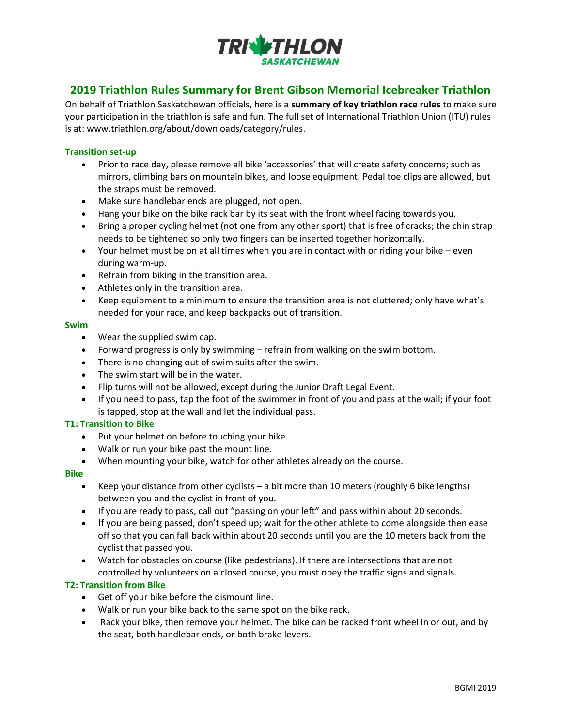

# 2019 Triathlon Rules Summary for Brent Gibson Memorial Icebreaker Triathlon

On behalf of Triathlon Saskatchewan officials, here is a summary of key triathlon race rules to make sure your participation in the triathlon is safe and fun. The full set of International Triathlon Union (ITU) rules is at: www.triathlon.org/about/downloads/category/rules.

#### Transition set‐up

- Prior to race day, please remove all bike 'accessories' that will create safety concerns; such as mirrors, climbing bars on mountain bikes, and loose equipment. Pedal toe clips are allowed, but the straps must be removed.
- Make sure handlebar ends are plugged, not open.
- Hang your bike on the bike rack bar by its seat with the front wheel facing towards you.
- Bring a proper cycling helmet (not one from any other sport) that is free of cracks; the chin strap needs to be tightened so only two fingers can be inserted together horizontally.
- Your helmet must be on at all times when you are in contact with or riding your bike even during warm‐up.
- Refrain from biking in the transition area.
- Athletes only in the transition area.
- Keep equipment to a minimum to ensure the transition area is not cluttered; only have what's needed for your race, and keep backpacks out of transition.

#### Swim

- Wear the supplied swim cap.
- Forward progress is only by swimming refrain from walking on the swim bottom.
- There is no changing out of swim suits after the swim.
- The swim start will be in the water.
- Flip turns will not be allowed, except during the Junior Draft Legal Event.
- If you need to pass, tap the foot of the swimmer in front of you and pass at the wall; if your foot is tapped, stop at the wall and let the individual pass.

#### T1: Transition to Bike

- Put your helmet on before touching your bike.
- Walk or run your bike past the mount line.
- When mounting your bike, watch for other athletes already on the course.

#### Bike

- Keep your distance from other cyclists a bit more than 10 meters (roughly 6 bike lengths) between you and the cyclist in front of you.
- If you are ready to pass, call out "passing on your left" and pass within about 20 seconds.
- If you are being passed, don't speed up; wait for the other athlete to come alongside then ease off so that you can fall back within about 20 seconds until you are the 10 meters back from the cyclist that passed you.
- Watch for obstacles on course (like pedestrians). If there are intersections that are not controlled by volunteers on a closed course, you must obey the traffic signs and signals.

#### T2: Transition from Bike

- Get off your bike before the dismount line.
- Walk or run your bike back to the same spot on the bike rack.
- Rack your bike, then remove your helmet. The bike can be racked front wheel in or out, and by the seat, both handlebar ends, or both brake levers.